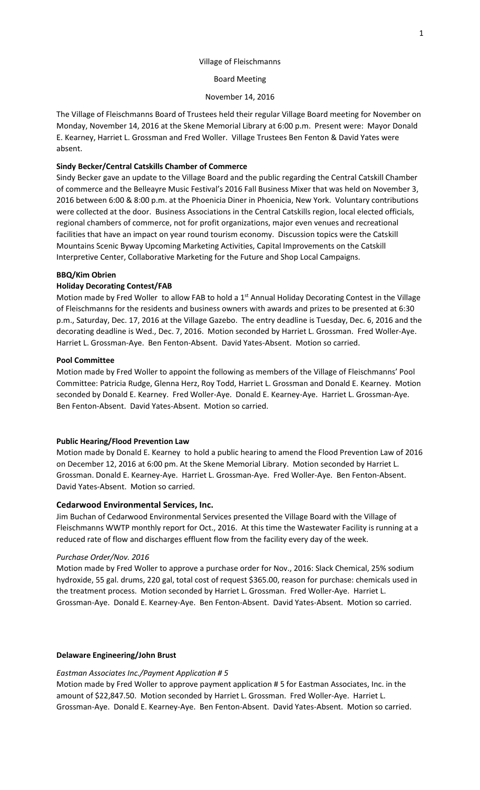## Village of Fleischmanns

### Board Meeting

# November 14, 2016

The Village of Fleischmanns Board of Trustees held their regular Village Board meeting for November on Monday, November 14, 2016 at the Skene Memorial Library at 6:00 p.m. Present were: Mayor Donald E. Kearney, Harriet L. Grossman and Fred Woller. Village Trustees Ben Fenton & David Yates were absent.

# **Sindy Becker/Central Catskills Chamber of Commerce**

Sindy Becker gave an update to the Village Board and the public regarding the Central Catskill Chamber of commerce and the Belleayre Music Festival's 2016 Fall Business Mixer that was held on November 3, 2016 between 6:00 & 8:00 p.m. at the Phoenicia Diner in Phoenicia, New York. Voluntary contributions were collected at the door. Business Associations in the Central Catskills region, local elected officials, regional chambers of commerce, not for profit organizations, major even venues and recreational facilities that have an impact on year round tourism economy. Discussion topics were the Catskill Mountains Scenic Byway Upcoming Marketing Activities, Capital Improvements on the Catskill Interpretive Center, Collaborative Marketing for the Future and Shop Local Campaigns.

#### **BBQ/Kim Obrien**

# **Holiday Decorating Contest/FAB**

Motion made by Fred Woller to allow FAB to hold a  $1<sup>st</sup>$  Annual Holiday Decorating Contest in the Village of Fleischmanns for the residents and business owners with awards and prizes to be presented at 6:30 p.m., Saturday, Dec. 17, 2016 at the Village Gazebo. The entry deadline is Tuesday, Dec. 6, 2016 and the decorating deadline is Wed., Dec. 7, 2016. Motion seconded by Harriet L. Grossman. Fred Woller-Aye. Harriet L. Grossman-Aye. Ben Fenton-Absent. David Yates-Absent. Motion so carried.

# **Pool Committee**

Motion made by Fred Woller to appoint the following as members of the Village of Fleischmanns' Pool Committee: Patricia Rudge, Glenna Herz, Roy Todd, Harriet L. Grossman and Donald E. Kearney. Motion seconded by Donald E. Kearney. Fred Woller-Aye. Donald E. Kearney-Aye. Harriet L. Grossman-Aye. Ben Fenton-Absent. David Yates-Absent. Motion so carried.

### **Public Hearing/Flood Prevention Law**

Motion made by Donald E. Kearney to hold a public hearing to amend the Flood Prevention Law of 2016 on December 12, 2016 at 6:00 pm. At the Skene Memorial Library. Motion seconded by Harriet L. Grossman. Donald E. Kearney-Aye. Harriet L. Grossman-Aye. Fred Woller-Aye. Ben Fenton-Absent. David Yates-Absent. Motion so carried.

#### **Cedarwood Environmental Services, Inc.**

Jim Buchan of Cedarwood Environmental Services presented the Village Board with the Village of Fleischmanns WWTP monthly report for Oct., 2016. At this time the Wastewater Facility is running at a reduced rate of flow and discharges effluent flow from the facility every day of the week.

#### *Purchase Order/Nov. 2016*

Motion made by Fred Woller to approve a purchase order for Nov., 2016: Slack Chemical, 25% sodium hydroxide, 55 gal. drums, 220 gal, total cost of request \$365.00, reason for purchase: chemicals used in the treatment process. Motion seconded by Harriet L. Grossman. Fred Woller-Aye. Harriet L. Grossman-Aye. Donald E. Kearney-Aye. Ben Fenton-Absent. David Yates-Absent. Motion so carried.

# **Delaware Engineering/John Brust**

#### *Eastman Associates Inc./Payment Application # 5*

Motion made by Fred Woller to approve payment application # 5 for Eastman Associates, Inc. in the amount of \$22,847.50. Motion seconded by Harriet L. Grossman. Fred Woller-Aye. Harriet L. Grossman-Aye. Donald E. Kearney-Aye. Ben Fenton-Absent. David Yates-Absent. Motion so carried.